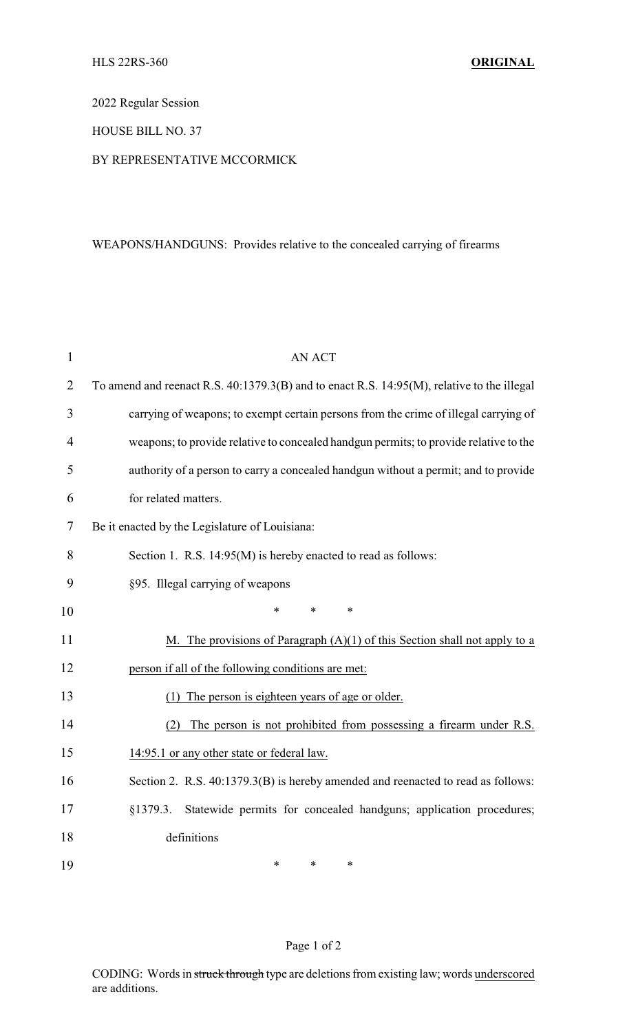2022 Regular Session

HOUSE BILL NO. 37

## BY REPRESENTATIVE MCCORMICK

## WEAPONS/HANDGUNS: Provides relative to the concealed carrying of firearms

| $\mathbf{1}$   | <b>AN ACT</b>                                                                              |
|----------------|--------------------------------------------------------------------------------------------|
| $\overline{2}$ | To amend and reenact R.S. 40:1379.3(B) and to enact R.S. 14:95(M), relative to the illegal |
| 3              | carrying of weapons; to exempt certain persons from the crime of illegal carrying of       |
| $\overline{4}$ | weapons; to provide relative to concealed handgun permits; to provide relative to the      |
| 5              | authority of a person to carry a concealed handgun without a permit; and to provide        |
| 6              | for related matters.                                                                       |
| 7              | Be it enacted by the Legislature of Louisiana:                                             |
| 8              | Section 1. R.S. 14:95(M) is hereby enacted to read as follows:                             |
| 9              | §95. Illegal carrying of weapons                                                           |
| 10             | $\ast$<br>$\ast$<br>$\ast$                                                                 |
| 11             | M. The provisions of Paragraph $(A)(1)$ of this Section shall not apply to a               |
| 12             | person if all of the following conditions are met:                                         |
| 13             | The person is eighteen years of age or older.<br>(1)                                       |
| 14             | The person is not prohibited from possessing a firearm under R.S.<br>(2)                   |
| 15             | 14:95.1 or any other state or federal law.                                                 |
| 16             | Section 2. R.S. 40:1379.3(B) is hereby amended and reenacted to read as follows:           |
| 17             | Statewide permits for concealed handguns; application procedures;<br>§1379.3.              |
| 18             | definitions                                                                                |
| 19             | ∗<br>$\ast$<br>∗                                                                           |

## Page 1 of 2

CODING: Words in struck through type are deletions from existing law; words underscored are additions.